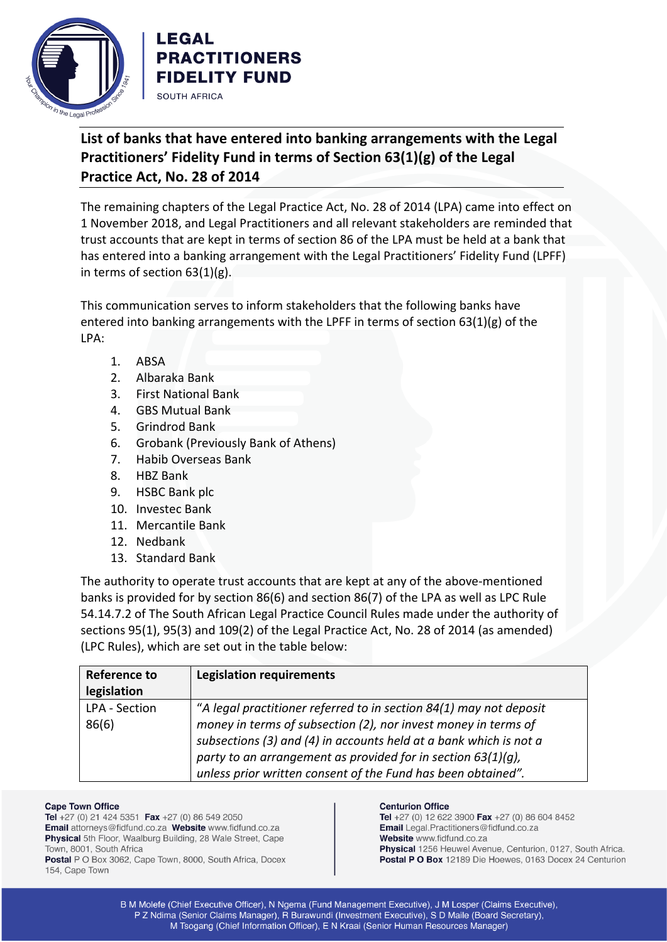

## **List of banks that have entered into banking arrangements with the Legal Practitioners' Fidelity Fund in terms of Section 63(1)(g) of the Legal Practice Act, No. 28 of 2014**

The remaining chapters of the Legal Practice Act, No. 28 of 2014 (LPA) came into effect on 1 November 2018, and Legal Practitioners and all relevant stakeholders are reminded that trust accounts that are kept in terms of section 86 of the LPA must be held at a bank that has entered into a banking arrangement with the Legal Practitioners' Fidelity Fund (LPFF) in terms of section  $63(1)(g)$ .

This communication serves to inform stakeholders that the following banks have entered into banking arrangements with the LPFF in terms of section  $63(1)(g)$  of the LPA:

- 1. ABSA
- 2. Albaraka Bank
- 3. First National Bank

**LEGAL** 

SOUTH AFRICA

**PRACTITIONERS FIDELITY FUND** 

- 4. GBS Mutual Bank
- 5. Grindrod Bank
- 6. Grobank (Previously Bank of Athens)
- 7. Habib Overseas Bank
- 8. HBZ Bank
- 9. HSBC Bank plc
- 10. Investec Bank
- 11. Mercantile Bank
- 12. Nedbank
- 13. Standard Bank

The authority to operate trust accounts that are kept at any of the above-mentioned banks is provided for by section 86(6) and section 86(7) of the LPA as well as LPC Rule 54.14.7.2 of The South African Legal Practice Council Rules made under the authority of sections 95(1), 95(3) and 109(2) of the Legal Practice Act, No. 28 of 2014 (as amended) (LPC Rules), which are set out in the table below:

| Reference to  | <b>Legislation requirements</b>                                    |
|---------------|--------------------------------------------------------------------|
| legislation   |                                                                    |
|               |                                                                    |
| LPA - Section | "A legal practitioner referred to in section 84(1) may not deposit |
| 86(6)         | money in terms of subsection (2), nor invest money in terms of     |
|               | subsections (3) and (4) in accounts held at a bank which is not a  |
|               | party to an arrangement as provided for in section $63(1)(q)$ ,    |
|               | unless prior written consent of the Fund has been obtained".       |

## **Cape Town Office**

Tel +27 (0) 21 424 5351 Fax +27 (0) 86 549 2050 Email attorneys@fidfund.co.za Website www.fidfund.co.za Physical 5th Floor, Waalburg Building, 28 Wale Street, Cape Town, 8001, South Africa Postal P O Box 3062, Cape Town, 8000, South Africa, Docex

## 154, Cape Town

## **Centurion Office**

Tel +27 (0) 12 622 3900 Fax +27 (0) 86 604 8452 Email Legal.Practitioners@fidfund.co.za Website www.fidfund.co.za Physical 1256 Heuwel Avenue, Centurion, 0127, South Africa. Postal P O Box 12189 Die Hoewes, 0163 Docex 24 Centurion